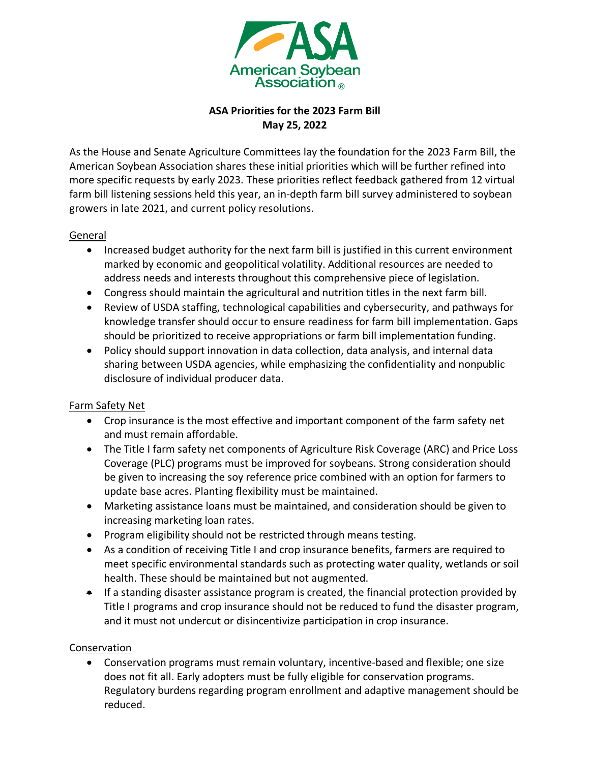

## **ASA Priorities for the 2023 Farm Bill May 25, 2022**

As the House and Senate Agriculture Committees lay the foundation for the 2023 Farm Bill, the American Soybean Association shares these initial priorities which will be further refined into more specific requests by early 2023. These priorities reflect feedback gathered from 12 virtual farm bill listening sessions held this year, an in-depth farm bill survey administered to soybean growers in late 2021, and current policy resolutions.

### General

- Increased budget authority for the next farm bill is justified in this current environment marked by economic and geopolitical volatility. Additional resources are needed to address needs and interests throughout this comprehensive piece of legislation.
- Congress should maintain the agricultural and nutrition titles in the next farm bill.
- Review of USDA staffing, technological capabilities and cybersecurity, and pathways for knowledge transfer should occur to ensure readiness for farm bill implementation. Gaps should be prioritized to receive appropriations or farm bill implementation funding.
- Policy should support innovation in data collection, data analysis, and internal data sharing between USDA agencies, while emphasizing the confidentiality and nonpublic disclosure of individual producer data.

### Farm Safety Net

- Crop insurance is the most effective and important component of the farm safety net and must remain affordable.
- The Title I farm safety net components of Agriculture Risk Coverage (ARC) and Price Loss Coverage (PLC) programs must be improved for soybeans. Strong consideration should be given to increasing the soy reference price combined with an option for farmers to update base acres. Planting flexibility must be maintained.
- Marketing assistance loans must be maintained, and consideration should be given to increasing marketing loan rates.
- Program eligibility should not be restricted through means testing.
- As a condition of receiving Title I and crop insurance benefits, farmers are required to meet specific environmental standards such as protecting water quality, wetlands or soil health. These should be maintained but not augmented.
- If a standing disaster assistance program is created, the financial protection provided by Title I programs and crop insurance should not be reduced to fund the disaster program, and it must not undercut or disincentivize participation in crop insurance.

### Conservation

• Conservation programs must remain voluntary, incentive-based and flexible; one size does not fit all. Early adopters must be fully eligible for conservation programs. Regulatory burdens regarding program enrollment and adaptive management should be reduced.